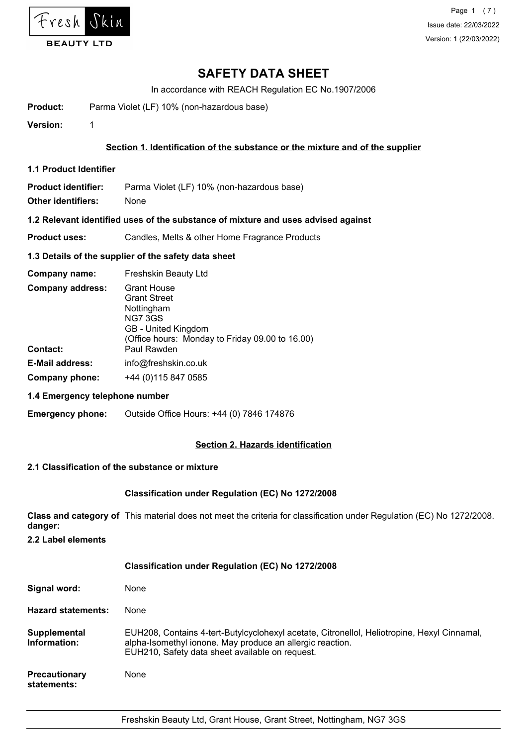

In accordance with REACH Regulation EC No.1907/2006

**Product:** Parma Violet (LF) 10% (non-hazardous base)

**Version:** 1

## **Section 1. Identification of the substance or the mixture and of the supplier**

**1.1 Product Identifier**

**Product identifier:** Parma Violet (LF) 10% (non-hazardous base)

**Other identifiers:** None

## **1.2 Relevant identified uses of the substance of mixture and uses advised against**

**Product uses:** Candles, Melts & other Home Fragrance Products

## **1.3 Details of the supplier of the safety data sheet**

| Company name:                       | Freshskin Beauty Ltd                                                                                                                                               |
|-------------------------------------|--------------------------------------------------------------------------------------------------------------------------------------------------------------------|
| <b>Company address:</b><br>Contact: | <b>Grant House</b><br><b>Grant Street</b><br>Nottingham<br><b>NG7 3GS</b><br>GB - United Kingdom<br>(Office hours: Monday to Friday 09.00 to 16.00)<br>Paul Rawden |
|                                     |                                                                                                                                                                    |
| <b>E-Mail address:</b>              | info@freshskin.co.uk                                                                                                                                               |
| Company phone:                      | +44 (0) 115 847 0585                                                                                                                                               |

# **1.4 Emergency telephone number**

**Emergency phone:** Outside Office Hours: +44 (0) 7846 174876

# **Section 2. Hazards identification**

# **2.1 Classification of the substance or mixture**

#### **Classification under Regulation (EC) No 1272/2008**

**Class and category of** This material does not meet the criteria for classification under Regulation (EC) No 1272/2008. **danger:**

**2.2 Label elements**

|                                     | <b>Classification under Regulation (EC) No 1272/2008</b>                                                                                                                                                    |
|-------------------------------------|-------------------------------------------------------------------------------------------------------------------------------------------------------------------------------------------------------------|
| Signal word:                        | None                                                                                                                                                                                                        |
| <b>Hazard statements:</b>           | None                                                                                                                                                                                                        |
| Supplemental<br>Information:        | EUH208, Contains 4-tert-Butylcyclohexyl acetate, Citronellol, Heliotropine, Hexyl Cinnamal,<br>alpha-Isomethyl ionone. May produce an allergic reaction.<br>EUH210, Safety data sheet available on request. |
| <b>Precautionary</b><br>statements: | None                                                                                                                                                                                                        |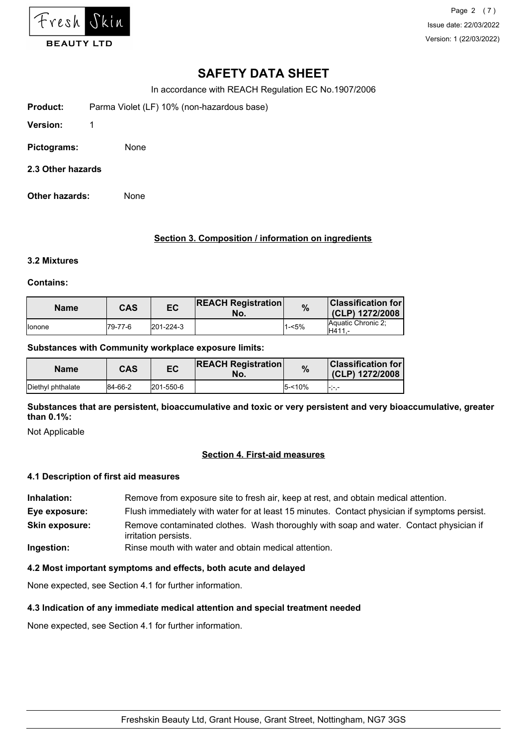

Page 2 (7) Issue date: 22/03/2022 Version: 1 (22/03/2022)

# **SAFETY DATA SHEET**

In accordance with REACH Regulation EC No.1907/2006

- **Product:** Parma Violet (LF) 10% (non-hazardous base)
- **Version:** 1
- **Pictograms:** None
- **2.3 Other hazards**
- **Other hazards:** None

## **Section 3. Composition / information on ingredients**

#### **3.2 Mixtures**

## **Contains:**

| <b>Name</b>     | CAS      | EC        | <b>REACH Registration</b><br>No. | %     | <b>Classification for</b><br>$(CLP)$ 1272/2008 |
|-----------------|----------|-----------|----------------------------------|-------|------------------------------------------------|
| <b>I</b> lonone | 179-77-6 | 201-224-3 |                                  | 1-<5% | Aquatic Chronic 2:<br>H411                     |

#### **Substances with Community workplace exposure limits:**

| <b>Name</b>       | <b>CAS</b> | EC        | <b>REACH Registration</b><br>No. | $\frac{0}{0}$ | <b>Classification for l</b><br>(CLP) 1272/2008 |
|-------------------|------------|-----------|----------------------------------|---------------|------------------------------------------------|
| Diethyl phthalate | 84-66-2    | 201-550-6 |                                  | l5-<10%       |                                                |

**Substances that are persistent, bioaccumulative and toxic or very persistent and very bioaccumulative, greater than 0.1%:**

Not Applicable

# **Section 4. First-aid measures**

#### **4.1 Description of first aid measures**

**Inhalation:** Remove from exposure site to fresh air, keep at rest, and obtain medical attention. **Eye exposure:** Flush immediately with water for at least 15 minutes. Contact physician if symptoms persist. **Skin exposure:** Remove contaminated clothes. Wash thoroughly with soap and water. Contact physician if irritation persists.

**Ingestion:** Rinse mouth with water and obtain medical attention.

# **4.2 Most important symptoms and effects, both acute and delayed**

None expected, see Section 4.1 for further information.

# **4.3 Indication of any immediate medical attention and special treatment needed**

None expected, see Section 4.1 for further information.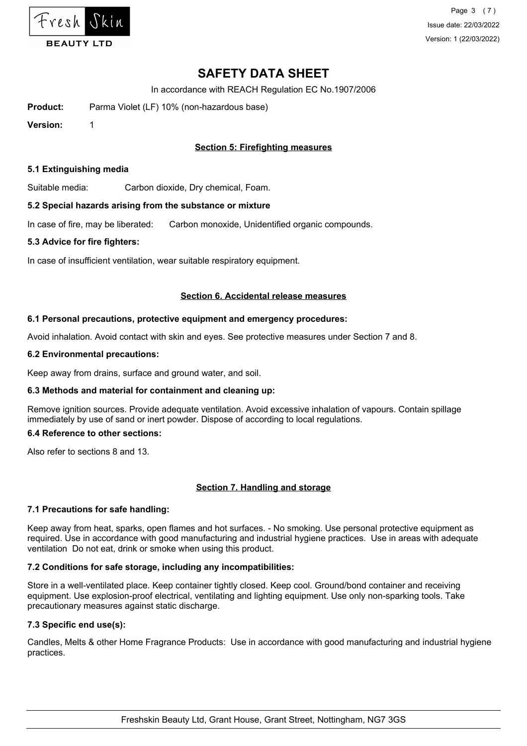

Page 3 (7) Issue date: 22/03/2022 Version: 1 (22/03/2022)

# **SAFETY DATA SHEET**

In accordance with REACH Regulation EC No.1907/2006

**Product:** Parma Violet (LF) 10% (non-hazardous base)

**Version:** 1

# **Section 5: Firefighting measures**

## **5.1 Extinguishing media**

Suitable media: Carbon dioxide, Dry chemical, Foam.

## **5.2 Special hazards arising from the substance or mixture**

In case of fire, may be liberated: Carbon monoxide, Unidentified organic compounds.

## **5.3 Advice for fire fighters:**

In case of insufficient ventilation, wear suitable respiratory equipment.

## **Section 6. Accidental release measures**

## **6.1 Personal precautions, protective equipment and emergency procedures:**

Avoid inhalation. Avoid contact with skin and eyes. See protective measures under Section 7 and 8.

## **6.2 Environmental precautions:**

Keep away from drains, surface and ground water, and soil.

# **6.3 Methods and material for containment and cleaning up:**

Remove ignition sources. Provide adequate ventilation. Avoid excessive inhalation of vapours. Contain spillage immediately by use of sand or inert powder. Dispose of according to local regulations.

## **6.4 Reference to other sections:**

Also refer to sections 8 and 13.

# **Section 7. Handling and storage**

# **7.1 Precautions for safe handling:**

Keep away from heat, sparks, open flames and hot surfaces. - No smoking. Use personal protective equipment as required. Use in accordance with good manufacturing and industrial hygiene practices. Use in areas with adequate ventilation Do not eat, drink or smoke when using this product.

# **7.2 Conditions for safe storage, including any incompatibilities:**

Store in a well-ventilated place. Keep container tightly closed. Keep cool. Ground/bond container and receiving equipment. Use explosion-proof electrical, ventilating and lighting equipment. Use only non-sparking tools. Take precautionary measures against static discharge.

# **7.3 Specific end use(s):**

Candles, Melts & other Home Fragrance Products: Use in accordance with good manufacturing and industrial hygiene practices.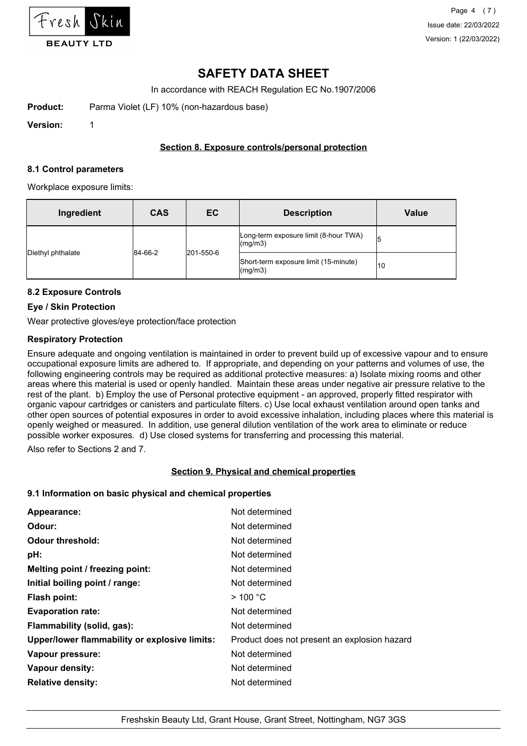

In accordance with REACH Regulation EC No.1907/2006

**Product:** Parma Violet (LF) 10% (non-hazardous base)

**Version:** 1

# **Section 8. Exposure controls/personal protection**

## **8.1 Control parameters**

Workplace exposure limits:

| Ingredient        | <b>CAS</b> | <b>EC</b> | <b>Description</b>                                       | Value |
|-------------------|------------|-----------|----------------------------------------------------------|-------|
|                   | 84-66-2    | 201-550-6 | Long-term exposure limit (8-hour TWA)<br>$\frac{mq}{m3}$ | 5     |
| Diethyl phthalate |            |           | Short-term exposure limit (15-minute)<br>$\frac{mq}{m3}$ | 10    |

# **8.2 Exposure Controls**

# **Eye / Skin Protection**

Wear protective gloves/eye protection/face protection

# **Respiratory Protection**

Ensure adequate and ongoing ventilation is maintained in order to prevent build up of excessive vapour and to ensure occupational exposure limits are adhered to. If appropriate, and depending on your patterns and volumes of use, the following engineering controls may be required as additional protective measures: a) Isolate mixing rooms and other areas where this material is used or openly handled. Maintain these areas under negative air pressure relative to the rest of the plant. b) Employ the use of Personal protective equipment - an approved, properly fitted respirator with organic vapour cartridges or canisters and particulate filters. c) Use local exhaust ventilation around open tanks and other open sources of potential exposures in order to avoid excessive inhalation, including places where this material is openly weighed or measured. In addition, use general dilution ventilation of the work area to eliminate or reduce possible worker exposures. d) Use closed systems for transferring and processing this material.

Also refer to Sections 2 and 7.

# **Section 9. Physical and chemical properties**

# **9.1 Information on basic physical and chemical properties**

| Appearance:                                   | Not determined                               |
|-----------------------------------------------|----------------------------------------------|
| Odour:                                        | Not determined                               |
| <b>Odour threshold:</b>                       | Not determined                               |
| pH:                                           | Not determined                               |
| Melting point / freezing point:               | Not determined                               |
| Initial boiling point / range:                | Not determined                               |
| <b>Flash point:</b>                           | $>$ 100 °C                                   |
| <b>Evaporation rate:</b>                      | Not determined                               |
| Flammability (solid, gas):                    | Not determined                               |
| Upper/lower flammability or explosive limits: | Product does not present an explosion hazard |
| Vapour pressure:                              | Not determined                               |
| Vapour density:                               | Not determined                               |
| <b>Relative density:</b>                      | Not determined                               |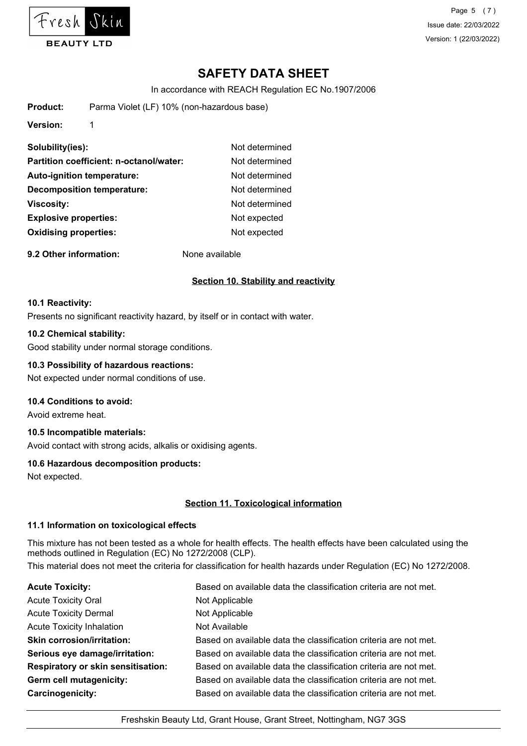

Page 5 (7) Issue date: 22/03/2022 Version: 1 (22/03/2022)

# **SAFETY DATA SHEET**

In accordance with REACH Regulation EC No.1907/2006

| Product:                     | Parma Violet (LF) 10% (non-hazardous base) |                |  |  |
|------------------------------|--------------------------------------------|----------------|--|--|
| <b>Version:</b>              | 1                                          |                |  |  |
| Solubility(ies):             |                                            | Not determined |  |  |
|                              | Partition coefficient: n-octanol/water:    | Not determined |  |  |
|                              | <b>Auto-ignition temperature:</b>          | Not determined |  |  |
|                              | <b>Decomposition temperature:</b>          | Not determined |  |  |
| <b>Viscosity:</b>            |                                            | Not determined |  |  |
| <b>Explosive properties:</b> |                                            | Not expected   |  |  |
| <b>Oxidising properties:</b> | Not expected                               |                |  |  |
|                              |                                            |                |  |  |

**9.2 Other information:** None available

# **Section 10. Stability and reactivity**

#### **10.1 Reactivity:**

Presents no significant reactivity hazard, by itself or in contact with water.

## **10.2 Chemical stability:**

Good stability under normal storage conditions.

# **10.3 Possibility of hazardous reactions:**

Not expected under normal conditions of use.

# **10.4 Conditions to avoid:**

Avoid extreme heat.

#### **10.5 Incompatible materials:**

Avoid contact with strong acids, alkalis or oxidising agents.

# **10.6 Hazardous decomposition products:**

Not expected.

# **Section 11. Toxicological information**

#### **11.1 Information on toxicological effects**

This mixture has not been tested as a whole for health effects. The health effects have been calculated using the methods outlined in Regulation (EC) No 1272/2008 (CLP). This material does not meet the criteria for classification for health hazards under Regulation (EC) No 1272/2008.

| <b>Acute Toxicity:</b>                    | Based on available data the classification criteria are not met. |
|-------------------------------------------|------------------------------------------------------------------|
| <b>Acute Toxicity Oral</b>                | Not Applicable                                                   |
| <b>Acute Toxicity Dermal</b>              | Not Applicable                                                   |
| <b>Acute Toxicity Inhalation</b>          | Not Available                                                    |
| <b>Skin corrosion/irritation:</b>         | Based on available data the classification criteria are not met. |
| Serious eye damage/irritation:            | Based on available data the classification criteria are not met. |
| <b>Respiratory or skin sensitisation:</b> | Based on available data the classification criteria are not met. |
| Germ cell mutagenicity:                   | Based on available data the classification criteria are not met. |
| Carcinogenicity:                          | Based on available data the classification criteria are not met. |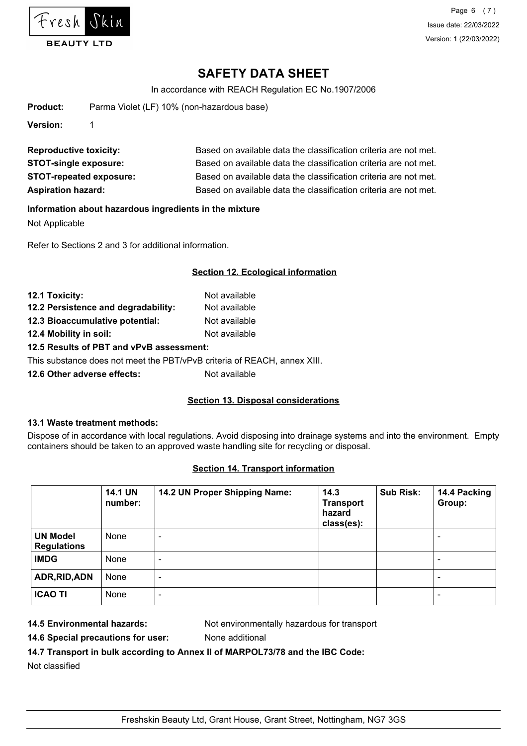

In accordance with REACH Regulation EC No.1907/2006

| Product:                      |                                | Parma Violet (LF) 10% (non-hazardous base)                       |  |  |
|-------------------------------|--------------------------------|------------------------------------------------------------------|--|--|
| Version:                      |                                |                                                                  |  |  |
| <b>Reproductive toxicity:</b> |                                | Based on available data the classification criteria are not met. |  |  |
|                               | <b>STOT-single exposure:</b>   | Based on available data the classification criteria are not met. |  |  |
|                               | <b>STOT-repeated exposure:</b> | Based on available data the classification criteria are not met. |  |  |

Aspiration hazard: **Based on available data the classification criteria are not met.** 

## **Information about hazardous ingredients in the mixture**

Not Applicable

Refer to Sections 2 and 3 for additional information.

# **Section 12. Ecological information**

| 12.1 Toxicity:                           | Not available |  |
|------------------------------------------|---------------|--|
| 12.2 Persistence and degradability:      | Not available |  |
| 12.3 Bioaccumulative potential:          | Not available |  |
| 12.4 Mobility in soil:                   | Not available |  |
| 12.5 Results of PBT and vPvB assessment: |               |  |

This substance does not meet the PBT/vPvB criteria of REACH, annex XIII.

**12.6 Other adverse effects:** Not available

# **Section 13. Disposal considerations**

# **13.1 Waste treatment methods:**

Dispose of in accordance with local regulations. Avoid disposing into drainage systems and into the environment. Empty containers should be taken to an approved waste handling site for recycling or disposal.

# **Section 14. Transport information**

|                                       | <b>14.1 UN</b><br>number: | 14.2 UN Proper Shipping Name: | 14.3<br><b>Transport</b><br>hazard<br>class(es): | <b>Sub Risk:</b> | 14.4 Packing<br>Group:   |
|---------------------------------------|---------------------------|-------------------------------|--------------------------------------------------|------------------|--------------------------|
| <b>UN Model</b><br><b>Regulations</b> | None                      | $\overline{\phantom{0}}$      |                                                  |                  | $\overline{\phantom{0}}$ |
| <b>IMDG</b>                           | None                      | $\overline{\phantom{0}}$      |                                                  |                  | $\overline{\phantom{0}}$ |
| ADR, RID, ADN                         | None                      | $\overline{\phantom{a}}$      |                                                  |                  | $\blacksquare$           |
| <b>ICAO TI</b>                        | None                      | ٠                             |                                                  |                  | $\overline{\phantom{a}}$ |

**14.5 Environmental hazards:** Not environmentally hazardous for transport

**14.6 Special precautions for user:** None additional

**14.7 Transport in bulk according to Annex II of MARPOL73/78 and the IBC Code:**

Not classified